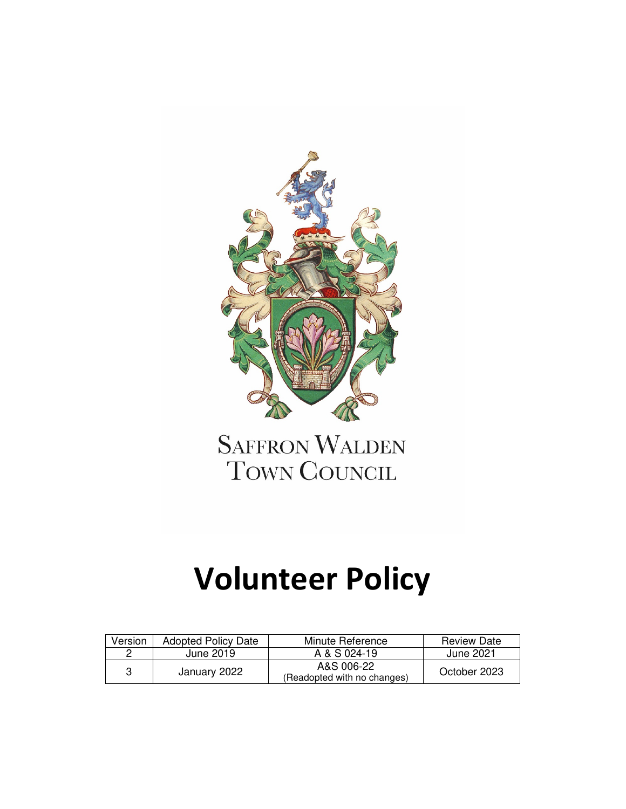

**SAFFRON WALDEN** TOWN COUNCIL

# **Volunteer Policy**

| Version | Adopted Policy Date | Minute Reference                          | <b>Review Date</b> |
|---------|---------------------|-------------------------------------------|--------------------|
| റ       | June 2019           | A & S 024-19                              | June 2021          |
| 3       | January 2022        | A&S 006-22<br>(Readopted with no changes) | October 2023       |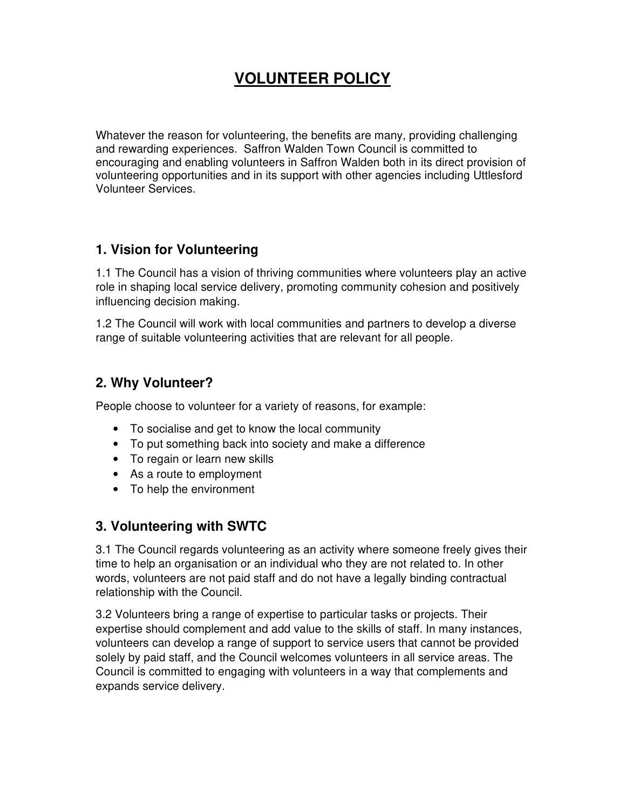## **VOLUNTEER POLICY**

Whatever the reason for volunteering, the benefits are many, providing challenging and rewarding experiences. Saffron Walden Town Council is committed to encouraging and enabling volunteers in Saffron Walden both in its direct provision of volunteering opportunities and in its support with other agencies including Uttlesford Volunteer Services.

#### **1. Vision for Volunteering**

1.1 The Council has a vision of thriving communities where volunteers play an active role in shaping local service delivery, promoting community cohesion and positively influencing decision making.

1.2 The Council will work with local communities and partners to develop a diverse range of suitable volunteering activities that are relevant for all people.

#### **2. Why Volunteer?**

People choose to volunteer for a variety of reasons, for example:

- To socialise and get to know the local community
- To put something back into society and make a difference
- To regain or learn new skills
- As a route to employment
- To help the environment

## **3. Volunteering with SWTC**

3.1 The Council regards volunteering as an activity where someone freely gives their time to help an organisation or an individual who they are not related to. In other words, volunteers are not paid staff and do not have a legally binding contractual relationship with the Council.

3.2 Volunteers bring a range of expertise to particular tasks or projects. Their expertise should complement and add value to the skills of staff. In many instances, volunteers can develop a range of support to service users that cannot be provided solely by paid staff, and the Council welcomes volunteers in all service areas. The Council is committed to engaging with volunteers in a way that complements and expands service delivery.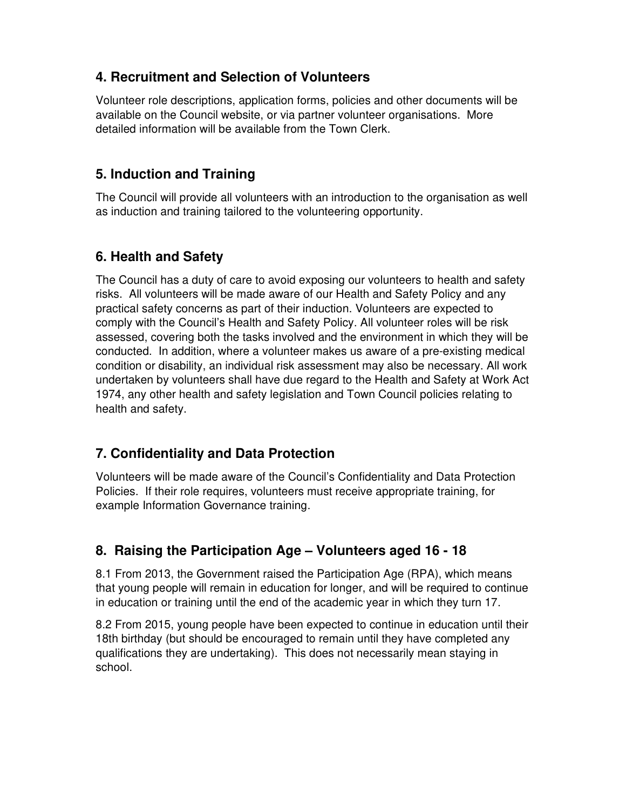## **4. Recruitment and Selection of Volunteers**

Volunteer role descriptions, application forms, policies and other documents will be available on the Council website, or via partner volunteer organisations. More detailed information will be available from the Town Clerk.

## **5. Induction and Training**

The Council will provide all volunteers with an introduction to the organisation as well as induction and training tailored to the volunteering opportunity.

## **6. Health and Safety**

The Council has a duty of care to avoid exposing our volunteers to health and safety risks. All volunteers will be made aware of our Health and Safety Policy and any practical safety concerns as part of their induction. Volunteers are expected to comply with the Council's Health and Safety Policy. All volunteer roles will be risk assessed, covering both the tasks involved and the environment in which they will be conducted. In addition, where a volunteer makes us aware of a pre-existing medical condition or disability, an individual risk assessment may also be necessary. All work undertaken by volunteers shall have due regard to the Health and Safety at Work Act 1974, any other health and safety legislation and Town Council policies relating to health and safety.

## **7. Confidentiality and Data Protection**

Volunteers will be made aware of the Council's Confidentiality and Data Protection Policies. If their role requires, volunteers must receive appropriate training, for example Information Governance training.

## **8. Raising the Participation Age – Volunteers aged 16 - 18**

8.1 From 2013, the Government raised the Participation Age (RPA), which means that young people will remain in education for longer, and will be required to continue in education or training until the end of the academic year in which they turn 17.

8.2 From 2015, young people have been expected to continue in education until their 18th birthday (but should be encouraged to remain until they have completed any qualifications they are undertaking). This does not necessarily mean staying in school.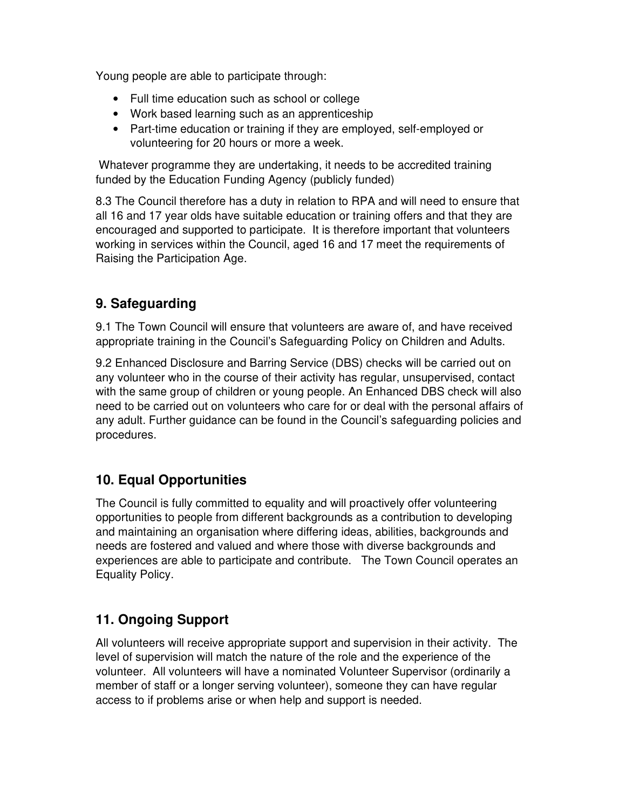Young people are able to participate through:

- Full time education such as school or college
- Work based learning such as an apprenticeship
- Part-time education or training if they are employed, self-employed or volunteering for 20 hours or more a week.

 Whatever programme they are undertaking, it needs to be accredited training funded by the Education Funding Agency (publicly funded)

8.3 The Council therefore has a duty in relation to RPA and will need to ensure that all 16 and 17 year olds have suitable education or training offers and that they are encouraged and supported to participate. It is therefore important that volunteers working in services within the Council, aged 16 and 17 meet the requirements of Raising the Participation Age.

## **9. Safeguarding**

9.1 The Town Council will ensure that volunteers are aware of, and have received appropriate training in the Council's Safeguarding Policy on Children and Adults.

9.2 Enhanced Disclosure and Barring Service (DBS) checks will be carried out on any volunteer who in the course of their activity has regular, unsupervised, contact with the same group of children or young people. An Enhanced DBS check will also need to be carried out on volunteers who care for or deal with the personal affairs of any adult. Further guidance can be found in the Council's safeguarding policies and procedures.

## **10. Equal Opportunities**

The Council is fully committed to equality and will proactively offer volunteering opportunities to people from different backgrounds as a contribution to developing and maintaining an organisation where differing ideas, abilities, backgrounds and needs are fostered and valued and where those with diverse backgrounds and experiences are able to participate and contribute. The Town Council operates an Equality Policy.

## **11. Ongoing Support**

All volunteers will receive appropriate support and supervision in their activity. The level of supervision will match the nature of the role and the experience of the volunteer. All volunteers will have a nominated Volunteer Supervisor (ordinarily a member of staff or a longer serving volunteer), someone they can have regular access to if problems arise or when help and support is needed.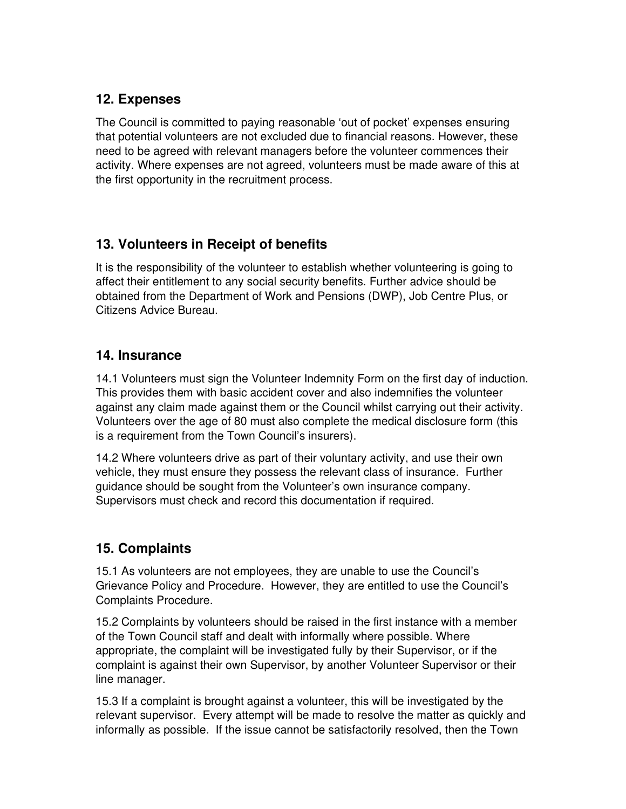#### **12. Expenses**

The Council is committed to paying reasonable 'out of pocket' expenses ensuring that potential volunteers are not excluded due to financial reasons. However, these need to be agreed with relevant managers before the volunteer commences their activity. Where expenses are not agreed, volunteers must be made aware of this at the first opportunity in the recruitment process.

#### **13. Volunteers in Receipt of benefits**

It is the responsibility of the volunteer to establish whether volunteering is going to affect their entitlement to any social security benefits. Further advice should be obtained from the Department of Work and Pensions (DWP), Job Centre Plus, or Citizens Advice Bureau.

#### **14. Insurance**

14.1 Volunteers must sign the Volunteer Indemnity Form on the first day of induction. This provides them with basic accident cover and also indemnifies the volunteer against any claim made against them or the Council whilst carrying out their activity. Volunteers over the age of 80 must also complete the medical disclosure form (this is a requirement from the Town Council's insurers).

14.2 Where volunteers drive as part of their voluntary activity, and use their own vehicle, they must ensure they possess the relevant class of insurance. Further guidance should be sought from the Volunteer's own insurance company. Supervisors must check and record this documentation if required.

## **15. Complaints**

15.1 As volunteers are not employees, they are unable to use the Council's Grievance Policy and Procedure. However, they are entitled to use the Council's Complaints Procedure.

15.2 Complaints by volunteers should be raised in the first instance with a member of the Town Council staff and dealt with informally where possible. Where appropriate, the complaint will be investigated fully by their Supervisor, or if the complaint is against their own Supervisor, by another Volunteer Supervisor or their line manager.

15.3 If a complaint is brought against a volunteer, this will be investigated by the relevant supervisor. Every attempt will be made to resolve the matter as quickly and informally as possible. If the issue cannot be satisfactorily resolved, then the Town